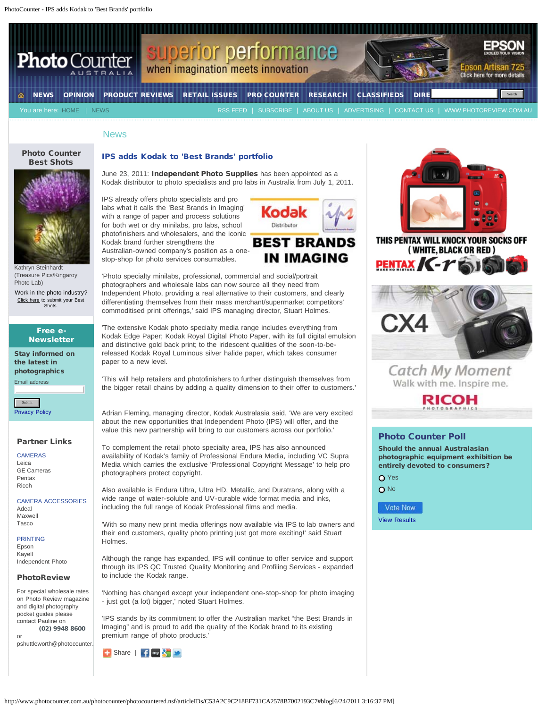PhotoCounter - IPS adds Kodak to 'Best Brands' portfolio



## News

#### [Photo Counter](http://bit.ly/bestshots) [Best Shots](http://bit.ly/bestshots)



[Kathryn Steinhardt](http://gallery.photoreview.com.au/image/show/e720fb04-3973-4962-917d-04409022a45e?tags=Photo%20Counter%20Best%20Shots) [\(Treasure Pics/Kingaroy](http://gallery.photoreview.com.au/image/show/e720fb04-3973-4962-917d-04409022a45e?tags=Photo%20Counter%20Best%20Shots) [Photo Lab\)](http://gallery.photoreview.com.au/image/show/e720fb04-3973-4962-917d-04409022a45e?tags=Photo%20Counter%20Best%20Shots)

Work in the photo industry? [Click here](http://gallery.photoreview.com.au/login/signin) to submit your Best **Shots**.

## Free e-**Newsletter**

Stay informed on the latest in photographics

Email address

[Privacy Policy](http://www.photocounter.com.au/photocounter/site/libraries/Privacy+Policy+&+Legal+Notice)

## Partner Links

CAMERAS [Leica](http://www.adeal.com.au/) [GE Cameras](http://www.gecameras.com.au/index.html) [Pentax](http://www.pentax.com.au/pentax/) [Ricoh](http://www.tasco.com.au/Products/tabid/59/ProductID/1101/List/0/Default.aspx)

CAMERA ACCESSORIES [Adeal](http://www.adeal.com.au/) [Maxwell](http://maxwell.com.au/index.html) [Tasco](http://www.tasco.com.au/)

#### PRINTING [Epson](http://www.epson.com.au/)

[Kayell](http://www.kayell.com.au/) [Independent Photo](https://www.iphoto.net.au/)

## PhotoReview

For special wholesale rates on Photo Review magazine and digital photography pocket guides please contact Pauline on  **(02) 9948 8600**  or

pshuttleworth@photocounter.

# IPS adds Kodak to 'Best Brands' portfolio

June 23, 2011: Independent Photo Supplies has been appointed as a Kodak distributor to photo specialists and pro labs in Australia from July 1, 2011.

IPS already offers photo specialists and pro labs what it calls the 'Best Brands in Imaging' with a range of paper and process solutions for both wet or dry minilabs, pro labs, school photofinishers and wholesalers, and the iconic Kodak brand further strengthens the

Australian-owned company's position as a onestop-shop for photo services consumables.



'Photo specialty minilabs, professional, commercial and social/portrait photographers and wholesale labs can now source all they need from Independent Photo, providing a real alternative to their customers, and clearly differentiating themselves from their mass merchant/supermarket competitors' commoditised print offerings,' said IPS managing director, Stuart Holmes.

'The extensive Kodak photo specialty media range includes everything from Kodak Edge Paper; Kodak Royal Digital Photo Paper, with its full digital emulsion and distinctive gold back print; to the iridescent qualities of the soon-to-bereleased Kodak Royal Luminous silver halide paper, which takes consumer paper to a new level.

'This will help retailers and photofinishers to further distinguish themselves from the bigger retail chains by adding a quality dimension to their offer to customers.'

Adrian Fleming, managing director, Kodak Australasia said, 'We are very excited about the new opportunities that Independent Photo (IPS) will offer, and the value this new partnership will bring to our customers across our portfolio.'

To complement the retail photo specialty area, IPS has also announced availability of Kodak's family of Professional Endura Media, including VC Supra Media which carries the exclusive 'Professional Copyright Message' to help pro photographers protect copyright.

Also available is Endura Ultra, Ultra HD, Metallic, and Duratrans, along with a wide range of water-soluble and UV-curable wide format media and inks, including the full range of Kodak Professional films and media.

'With so many new print media offerings now available via IPS to lab owners and their end customers, quality photo printing just got more exciting!' said Stuart Holmes.

Although the range has expanded, IPS will continue to offer service and support through its IPS QC Trusted Quality Monitoring and Profiling Services - expanded to include the Kodak range.

'Nothing has changed except your independent one-stop-shop for photo imaging - just got (a lot) bigger,' noted Stuart Holmes.

'IPS stands by its commitment to offer the Australian market "the Best Brands in Imaging" and is proud to add the quality of the Kodak brand to its existing premium range of photo products.'









## Photo Counter Poll

Should the annual Australasian photographic equipment exhibition be entirely devoted to consumers?

O Yes

O<sub>No</sub>

Vote Now

[View Results](http://www.photocounter.com.au/photocounter/site/libraries/Poll+results?open)